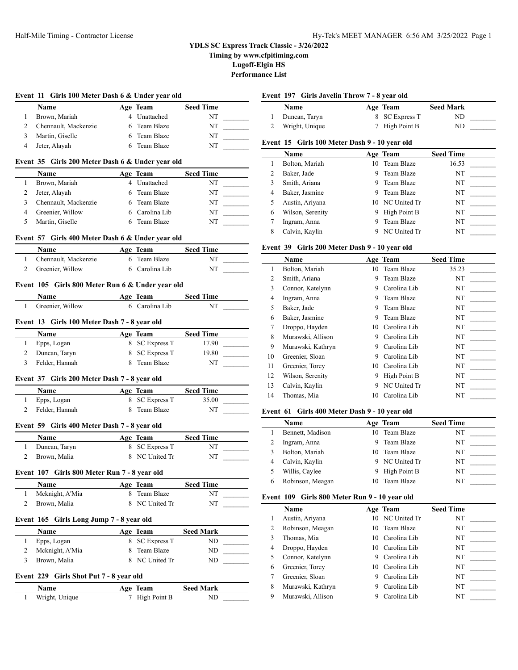**Timing by www.cfpitiming.com**

**Lugoff-Elgin HS**

**Performance List**

|                | <b>Name</b>                                      |   | Age Team                       | <b>Seed Time</b> |  |
|----------------|--------------------------------------------------|---|--------------------------------|------------------|--|
| 1              | Brown, Mariah                                    |   | 4 Unattached                   | <b>NT</b>        |  |
| 2              | Chennault, Mackenzie                             |   | 6 Team Blaze                   | NT               |  |
| 3              | Martin, Giselle                                  |   | 6 Team Blaze                   | NT               |  |
| 4              | Jeter, Alayah                                    |   | 6 Team Blaze                   | NT               |  |
|                | Event 35 Girls 200 Meter Dash 6 & Under year old |   |                                |                  |  |
|                | <b>Name</b>                                      |   | Age Team                       | <b>Seed Time</b> |  |
| 1              | Brown, Mariah                                    |   | 4 Unattached                   | NT               |  |
| 2              | Jeter, Alayah                                    |   | 6 Team Blaze                   | NT               |  |
| 3              | Chennault, Mackenzie                             |   | 6 Team Blaze                   | NT               |  |
| 4              | Greenier, Willow                                 |   | 6 Carolina Lib                 | NT               |  |
| 5              | Martin, Giselle                                  |   | 6 Team Blaze                   | NT               |  |
|                | Event 57 Girls 400 Meter Dash 6 & Under year old |   |                                |                  |  |
|                | <b>Name</b>                                      |   | Age Team                       | <b>Seed Time</b> |  |
| $\mathbf{1}$   | Chennault, Mackenzie                             |   | 6 Team Blaze                   | NT               |  |
| $\overline{2}$ | Greenier, Willow                                 |   | 6 Carolina Lib                 | <b>NT</b>        |  |
|                | Event 105 Girls 800 Meter Run 6 & Under year old |   |                                |                  |  |
|                | <b>Name</b>                                      |   | Age Team                       | <b>Seed Time</b> |  |
| 1              | Greenier, Willow                                 |   | 6 Carolina Lib                 | NT               |  |
|                | Event 13 Girls 100 Meter Dash 7 - 8 year old     |   |                                |                  |  |
|                | Name                                             |   | Age Team                       | <b>Seed Time</b> |  |
| 1              | Epps, Logan                                      |   | 8 SC Express T                 | 17.90            |  |
| 2              | Duncan, Taryn                                    | 8 | <b>SC Express T</b>            | 19.80            |  |
| 3              | Felder, Hannah                                   |   | 8 Team Blaze                   | NT               |  |
|                | Event 37 Girls 200 Meter Dash 7 - 8 year old     |   |                                |                  |  |
|                | Name                                             |   | Age Team                       | <b>Seed Time</b> |  |
| 1              | Epps, Logan                                      |   | 8 SC Express T                 | 35.00            |  |
| 2              | Felder, Hannah                                   |   | 8 Team Blaze                   | NT               |  |
|                | Event 59 Girls 400 Meter Dash 7 - 8 year old     |   |                                |                  |  |
|                | <b>Name</b>                                      |   | Age Team                       | <b>Seed Time</b> |  |
|                | Duncan, Taryn                                    |   | 8 SC Express T                 | NT               |  |
| 1              |                                                  |   |                                | NT               |  |
| 2              | Brown, Malia                                     |   | 8 NC United Tr                 |                  |  |
|                |                                                  |   |                                |                  |  |
|                | Event 107 Girls 800 Meter Run 7 - 8 year old     |   |                                |                  |  |
|                | Name                                             |   | Age Team                       | <b>Seed Time</b> |  |
| 1<br>2         | Mcknight, A'Mia<br>Brown, Malia                  |   | 8 Team Blaze<br>8 NC United Tr | NT<br>NT         |  |
|                |                                                  |   |                                |                  |  |
|                | Event 165 Girls Long Jump 7 - 8 year old         |   |                                |                  |  |
|                | Name                                             |   | Age Team                       | <b>Seed Mark</b> |  |
| 1              | Epps, Logan                                      |   | 8 SC Express T                 | ND               |  |
| 2              | Mcknight, A'Mia                                  |   | 8 Team Blaze                   | ND               |  |
| 3              | Brown, Malia                                     |   | 8 NC United Tr                 | ND               |  |
|                | Event 229 Girls Shot Put 7 - 8 year old          |   |                                |                  |  |
|                | Name                                             |   | Age Team                       | <b>Seed Mark</b> |  |

# 197 Girls Javelin Throw 7 - 8 year old

| Name           | Age Team       | <b>Seed Mark</b> |  |
|----------------|----------------|------------------|--|
| Duncan, Taryn  | 8 SC Express T | ND               |  |
| Wright, Unique | 7 High Point B | ND               |  |

# **Event 15 Girls 100 Meter Dash 9 - 10 year old**

|   | <b>Name</b>      |    | Age Team     | <b>Seed Time</b> |
|---|------------------|----|--------------|------------------|
|   | Bolton, Mariah   | 10 | Team Blaze   | 16.53            |
| 2 | Baker, Jade      | 9  | Team Blaze   | NT               |
| 3 | Smith, Ariana    | 9  | Team Blaze   | NT               |
| 4 | Baker, Jasmine   | 9  | Team Blaze   | NΤ               |
| 5 | Austin, Ariyana  | 10 | NC United Tr | NT               |
| 6 | Wilson, Serenity | 9  | High Point B | NT               |
|   | Ingram, Anna     | 9  | Team Blaze   | NT               |
| 8 | Calvin, Kaylin   |    | NC United Tr | NT               |

# **Event 39 Girls 200 Meter Dash 9 - 10 year old**

|                | $5.111$ $-0.011$ $-0.011$ $-0.001$ $-0.001$ |    | $-0$ , $-0$       |                  |
|----------------|---------------------------------------------|----|-------------------|------------------|
|                | <b>Name</b>                                 |    | Age Team          | <b>Seed Time</b> |
| 1              | Bolton, Mariah                              | 10 | <b>Team Blaze</b> | 35.23            |
| 2              | Smith, Ariana                               | 9  | Team Blaze        | NT               |
| 3              | Connor, Katelynn                            | 9  | Carolina Lib      | NT               |
| $\overline{4}$ | Ingram, Anna                                | 9  | <b>Team Blaze</b> | NT               |
| 5              | Baker, Jade                                 | 9  | Team Blaze        | NT               |
| 6              | Baker, Jasmine                              | 9  | Team Blaze        | NT               |
| 7              | Droppo, Hayden                              | 10 | Carolina Lib      | NT               |
| 8              | Murawski, Allison                           | 9  | Carolina Lib      | NT               |
| 9              | Murawski, Kathryn                           | 9  | Carolina Lib      | NT               |
| 10             | Greenier, Sloan                             | 9  | Carolina Lib      | NT               |
| 11             | Greenier, Torey                             | 10 | Carolina Lib      | NT               |
| 12             | Wilson, Serenity                            | 9  | High Point B      | NT               |
| 13             | Calvin, Kaylin                              | 9  | NC United Tr      | NT               |
| 14             | Thomas, Mia                                 | 10 | Carolina Lib      | NT               |
|                |                                             |    |                   |                  |

# **Event 61 Girls 400 Meter Dash 9 - 10 year old**

|   | <b>Name</b>      |     | Age Team     | <b>Seed Time</b> |  |  |
|---|------------------|-----|--------------|------------------|--|--|
|   | Bennett, Madison | 10. | Team Blaze   | NT               |  |  |
|   | Ingram, Anna     |     | Team Blaze   | NT               |  |  |
|   | Bolton, Mariah   | 10  | Team Blaze   | NT               |  |  |
|   | Calvin, Kaylin   |     | NC United Tr | NT               |  |  |
|   | Willis, Caylee   | 9   | High Point B | NΤ               |  |  |
| 6 | Robinson, Meagan |     | Team Blaze   | NT               |  |  |

# **Event 109 Girls 800 Meter Run 9 - 10 year old**

|   | <b>Name</b>       |     | Age Team        | <b>Seed Time</b> |
|---|-------------------|-----|-----------------|------------------|
|   | Austin, Ariyana   |     | 10 NC United Tr | NT               |
| 2 | Robinson, Meagan  | 10. | Team Blaze      | NT               |
| 3 | Thomas. Mia       | 10  | Carolina Lib    | NT               |
| 4 | Droppo, Hayden    | 10. | Carolina Lib    | NT               |
|   | Connor, Katelynn  | 9   | Carolina Lib    | NT               |
| 6 | Greenier, Torey   | 10  | Carolina Lib    | NT               |
|   | Greenier, Sloan   | 9   | Carolina Lib    | NT               |
| 8 | Murawski, Kathryn | 9   | Carolina Lib    | NT               |
| 9 | Murawski, Allison |     | Carolina Lib    | NT               |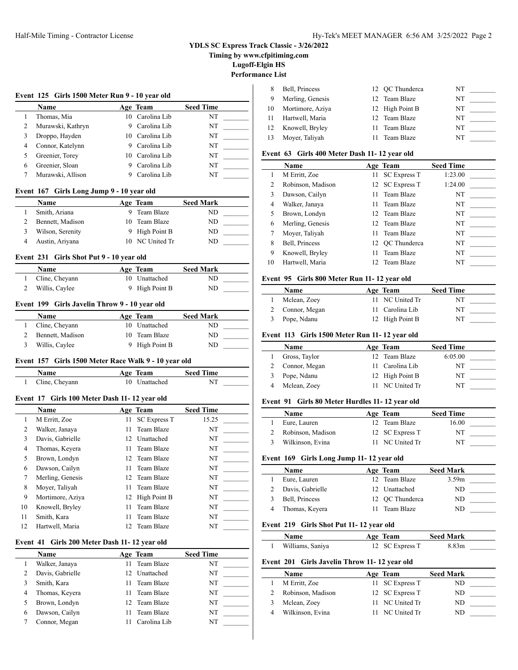**Timing by www.cfpitiming.com**

**Lugoff-Elgin HS**

# **Performance List**

|                | Name                                                 |      | Age Team            | <b>Seed Time</b> |  |
|----------------|------------------------------------------------------|------|---------------------|------------------|--|
| 1              | Thomas, Mia                                          |      | 10 Carolina Lib     | NT               |  |
| 2              | Murawski, Kathryn                                    |      | 9 Carolina Lib      | NT               |  |
| 3              | Droppo, Hayden                                       |      | 10 Carolina Lib     | NT               |  |
| 4              | Connor, Katelynn                                     |      | 9 Carolina Lib      | NT               |  |
| 5              | Greenier, Torey                                      |      | 10 Carolina Lib     | NT               |  |
| 6              | Greenier, Sloan                                      |      | 9 Carolina Lib      | NT               |  |
| 7              | Murawski, Allison                                    |      | 9 Carolina Lib      | NT               |  |
|                | Event 167<br>Girls Long Jump 9 - 10 year old         |      |                     |                  |  |
|                | Name                                                 |      | Age Team            | <b>Seed Mark</b> |  |
| 1              | Smith, Ariana                                        |      | 9 Team Blaze        | ND               |  |
| 2              | Bennett, Madison                                     |      | 10 Team Blaze       | ND               |  |
| 3              | Wilson, Serenity                                     |      | 9 High Point B      | ND.              |  |
| 4              | Austin, Ariyana                                      |      | 10 NC United Tr     | ND               |  |
|                | Girls Shot Put 9 - 10 year old<br>Event 231          |      |                     |                  |  |
|                | Name                                                 |      | Age Team            | <b>Seed Mark</b> |  |
| 1              | Cline, Cheyann                                       |      | 10 Unattached       | ND               |  |
| 2              | Willis, Caylee                                       |      | 9 High Point B      | ND               |  |
|                | Event 199 Girls Javelin Throw 9 - 10 year old        |      |                     |                  |  |
|                | Name                                                 |      | Age Team            | <b>Seed Mark</b> |  |
| 1              | Cline, Cheyann                                       |      | 10 Unattached       | ND               |  |
| 2              | Bennett, Madison                                     |      | 10 Team Blaze       | ND               |  |
| 3              | Willis, Caylee                                       | 9    | High Point B        | ND               |  |
|                | Event 157 Girls 1500 Meter Race Walk 9 - 10 year old |      |                     |                  |  |
|                | Name                                                 |      | Age Team            | <b>Seed Time</b> |  |
| 1              | Cline, Cheyann                                       |      | 10 Unattached       | NT               |  |
|                |                                                      |      |                     |                  |  |
|                | Event 17 Girls 100 Meter Dash 11-12 year old         |      |                     |                  |  |
|                | Name                                                 |      | Age Team            | <b>Seed Time</b> |  |
| 1              | M Erritt, Zoe                                        | 11 - | <b>SC Express T</b> | 15.25            |  |
| 2              | Walker, Janaya                                       |      | 11 Team Blaze       | NT               |  |
| 3              | Davis, Gabrielle                                     |      | 12 Unattached       | NT               |  |
| 4              | Thomas, Keyera                                       |      | 11 Team Blaze       | NT               |  |
| 5              | Brown, Londyn                                        |      | 12 Team Blaze       | NT               |  |
| 6              | Dawson, Cailyn                                       | 11   | Team Blaze          | NT               |  |
| 7              | Merling, Genesis                                     | 12   | Team Blaze          | $_{\rm NT}$      |  |
| 8              | Moyer, Taliyah                                       | 11   | Team Blaze          | NT               |  |
| 9              | Mortimore, Aziya                                     | 12   | High Point B        | NT               |  |
| 10             | Knowell, Bryley                                      | 11   | Team Blaze          | NT               |  |
| 11             | Smith, Kara                                          | 11   | Team Blaze          | NT               |  |
| 12             | Hartwell, Maria                                      | 12   | Team Blaze          | NT               |  |
|                | Girls 200 Meter Dash 11-12 year old                  |      |                     |                  |  |
| Event 41       | Name                                                 |      | Age Team            | <b>Seed Time</b> |  |
| $\mathbf{1}$   | Walker, Janaya                                       | 11   | Team Blaze          | NT               |  |
| 2              | Davis, Gabrielle                                     | 12   | Unattached          | NT               |  |
| $\mathfrak{Z}$ | Smith, Kara                                          | 11   | Team Blaze          | NT               |  |
| $\overline{4}$ | Thomas, Keyera                                       | 11   | Team Blaze          | NT               |  |

6 Dawson, Cailyn 11 Team Blaze NT<br>7 Connor, Megan 11 Carolina Lib NT

7 Connor, Megan 11 Carolina Lib

| -8  | Bell, Princess   | 12 OC Thunderca | NT |  |
|-----|------------------|-----------------|----|--|
| - 9 | Merling, Genesis | 12 Team Blaze   | NΤ |  |
| 10  | Mortimore, Aziya | 12 High Point B | NT |  |
| -11 | Hartwell, Maria  | 12 Team Blaze   | NT |  |
| 12  | Knowell, Bryley  | 11 Team Blaze   | NT |  |
| 13  | Moyer, Taliyah   | 11 Team Blaze   | NT |  |

### **Event 63 Girls 400 Meter Dash 11- 12 year old**

|                             | <b>Name</b>       |      | Age Team            | <b>Seed Time</b> |
|-----------------------------|-------------------|------|---------------------|------------------|
|                             | M Erritt, Zoe     | 11 - | <b>SC Express T</b> | 1:23.00          |
| $\mathcal{D}_{\mathcal{L}}$ | Robinson, Madison |      | 12 SC Express T     | 1:24.00          |
| 3                           | Dawson, Cailyn    |      | 11 Team Blaze       | NT               |
| 4                           | Walker, Janaya    |      | 11 Team Blaze       | NT               |
| 5                           | Brown, Londyn     |      | 12 Team Blaze       | NT               |
| 6                           | Merling, Genesis  |      | 12 Team Blaze       | NT               |
|                             | Moyer, Taliyah    |      | 11 Team Blaze       | NT               |
| 8                           | Bell, Princess    |      | 12 OC Thunderca     | NT               |
| 9                           | Knowell, Bryley   | 11   | Team Blaze          | NT               |
| 10                          | Hartwell, Maria   |      | 12 Team Blaze       | NT               |

### **Event 95 Girls 800 Meter Run 11- 12 year old**

| <b>Name</b>     | Age Team        | <b>Seed Time</b> |
|-----------------|-----------------|------------------|
| Mclean, Zoey    | 11 NC United Tr | NT               |
| 2 Connor, Megan | 11 Carolina Lib | NT               |
| Pope, Ndanu     | 12 High Point B | NT               |

#### **Event 113 Girls 1500 Meter Run 11- 12 year old**

| Name          | Age Team        | <b>Seed Time</b> |  |
|---------------|-----------------|------------------|--|
| Gross, Taylor | 12 Team Blaze   | 6:05.00          |  |
| Connor, Megan | 11 Carolina Lib | NT               |  |
| Pope, Ndanu   | 12 High Point B | NT               |  |
| Mclean, Zoey  | 11 NC United Tr | NT               |  |

### **Event 91 Girls 80 Meter Hurdles 11- 12 year old**

| Name              | Age Team        | <b>Seed Time</b> |  |
|-------------------|-----------------|------------------|--|
| Eure, Lauren      | 12 Team Blaze   | 16.00            |  |
| Robinson, Madison | 12 SC Express T | NT               |  |
| Wilkinson, Evina  | 11 NC United Tr | NT               |  |

### **Event 169 Girls Long Jump 11- 12 year old**

| .                |                 |                  |  |
|------------------|-----------------|------------------|--|
| Name             | Age Team        | <b>Seed Mark</b> |  |
| Eure, Lauren     | 12 Team Blaze   | 3.59m            |  |
| Davis, Gabrielle | 12 Unattached   | ND               |  |
| Bell, Princess   | 12 OC Thunderca | ND               |  |
| Thomas, Keyera   | Team Blaze      | ND               |  |

### **Event 219 Girls Shot Put 11- 12 year old**

| <b>Name</b>      | Age Team        | <b>Seed Mark</b> |  |
|------------------|-----------------|------------------|--|
| Williams, Saniya | 12 SC Express T | 8.83m            |  |

### **Event 201 Girls Javelin Throw 11- 12 year old**

| Name              | Age Team        | <b>Seed Mark</b> |
|-------------------|-----------------|------------------|
| M Erritt, Zoe     | 11 SC Express T | ND               |
| Robinson, Madison | 12 SC Express T | ND               |
| Mclean, Zoey      | 11 NC United Tr | ND               |
| Wilkinson, Evina  | NC United Tr    | ND               |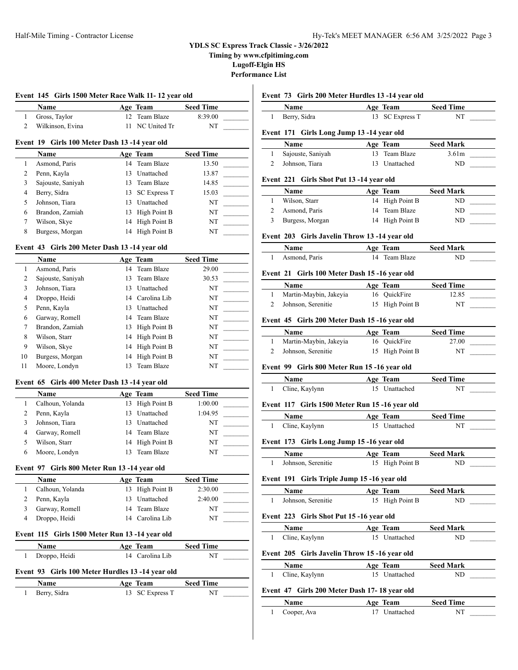**Timing by www.cfpitiming.com**

**Lugoff-Elgin HS**

**Performance List**

 $\mathbf{I}$ 

| Event 145 Girls 1500 Meter Race Walk 11-12 year old |                                                  |    |                     |                  |  |
|-----------------------------------------------------|--------------------------------------------------|----|---------------------|------------------|--|
|                                                     | Name                                             |    | Age Team            | <b>Seed Time</b> |  |
| 1                                                   | Gross, Taylor                                    | 12 | Team Blaze          | 8:39.00          |  |
| $\overline{c}$                                      | Wilkinson, Evina                                 | 11 | NC United Tr        | NT               |  |
|                                                     | Girls 100 Meter Dash 13 -14 year old<br>Event 19 |    |                     |                  |  |
|                                                     | Name                                             |    | Age Team            | <b>Seed Time</b> |  |
| 1                                                   | Asmond, Paris                                    | 14 | Team Blaze          | 13.50            |  |
| 2                                                   | Penn, Kayla                                      | 13 | Unattached          | 13.87            |  |
| 3                                                   | Sajouste, Saniyah                                | 13 | Team Blaze          | 14.85            |  |
| 4                                                   | Berry, Sidra                                     | 13 | <b>SC Express T</b> | 15.03            |  |
| 5                                                   | Johnson, Tiara                                   | 13 | Unattached          | NT               |  |
| 6                                                   | Brandon, Zamiah                                  | 13 | High Point B        | NT               |  |
| 7                                                   | Wilson, Skye                                     | 14 | High Point B        | NT               |  |
| 8                                                   | Burgess, Morgan                                  | 14 | High Point B        | NT               |  |
|                                                     | Event 43 Girls 200 Meter Dash 13 -14 year old    |    |                     |                  |  |
|                                                     | Name                                             |    | Age Team            | <b>Seed Time</b> |  |
| 1                                                   | Asmond, Paris                                    | 14 | Team Blaze          | 29.00            |  |
| 2                                                   | Sajouste, Saniyah                                | 13 | Team Blaze          | 30.53            |  |
| 3                                                   | Johnson, Tiara                                   | 13 | Unattached          | NT               |  |
| 4                                                   | Droppo, Heidi                                    | 14 | Carolina Lib        | NT               |  |
| 5                                                   | Penn Kavla                                       |    | 13 Unattached       | NT               |  |

### 5 Penn, Kayla 13 Unattached NT 6 Garway, Romell 14 Team Blaze NT 7 Brandon, Zamiah 13 High Point B NT 8 Wilson, Starr 14 High Point B NT 9 Wilson, Skye 14 High Point B NT 10 Burgess, Morgan 14 High Point B NT 11 Moore, Londyn 13 Team Blaze NT

### **Event 65 Girls 400 Meter Dash 13 -14 year old**

| <b>Name</b>      |     | Age Team        | <b>Seed Time</b> |  |
|------------------|-----|-----------------|------------------|--|
| Calhoun, Yolanda |     | 13 High Point B | 1:00.00          |  |
| Penn, Kayla      | 13. | Unattached      | 1:04.95          |  |
| Johnson, Tiara   | 13. | Unattached      | NT               |  |
| Garway, Romell   |     | 14 Team Blaze   | NT               |  |
| Wilson, Starr    |     | 14 High Point B | NT               |  |
| Moore, Londyn    |     | Team Blaze      | NT               |  |

#### **Event 97 Girls 800 Meter Run 13 -14 year old**

| Name             | Age Team        | <b>Seed Time</b> |  |
|------------------|-----------------|------------------|--|
| Calhoun, Yolanda | 13 High Point B | 2:30.00          |  |
| Penn, Kayla      | 13 Unattached   | 2:40.00          |  |
| Garway, Romell   | 14 Team Blaze   | NT               |  |
| Droppo, Heidi    | 14 Carolina Lib | NT               |  |

### **Event 115 Girls 1500 Meter Run 13 -14 year old**

| Name          | Age Team        | <b>Seed Time</b> |  |
|---------------|-----------------|------------------|--|
| Droppo, Heidi | 14 Carolina Lib | NT               |  |

#### **Event 93 Girls 100 Meter Hurdles 13 -14 year old**

| <b>Name</b>  | Age Team        | <b>Seed Time</b> |
|--------------|-----------------|------------------|
| Berry, Sidra | 13 SC Express T | NT               |

#### **Event 73 Girls 200 Meter Hurdles 13 -14 year old**

| Name         | Age Team        | <b>Seed Time</b> |
|--------------|-----------------|------------------|
| Berry, Sidra | 13 SC Express T | NT               |

#### **Event 171 Girls Long Jump 13 -14 year old**

| <b>Name</b>       | Age Team      | <b>Seed Mark</b>  |  |
|-------------------|---------------|-------------------|--|
| Sajouste, Saniyah | 13 Team Blaze | 3.61 <sub>m</sub> |  |
| Johnson. Tiara    | 13 Unattached | ND                |  |

#### 221 Girls Shot Put 13 -14 year old

| Name            | Age Team        | <b>Seed Mark</b> |  |
|-----------------|-----------------|------------------|--|
| Wilson, Starr   | 14 High Point B | ND               |  |
| Asmond, Paris   | 14 Team Blaze   | ND               |  |
| Burgess, Morgan | 14 High Point B | ND               |  |

#### 203 Girls Javelin Throw 13 -14 year old

| Name          | Age Team      | <b>Seed Mark</b> |  |
|---------------|---------------|------------------|--|
| Asmond, Paris | 14 Team Blaze | ND               |  |

#### 21 Girls 100 Meter Dash 15 -16 year old

| <b>Name</b>            | Age Team        | <b>Seed Time</b> |  |
|------------------------|-----------------|------------------|--|
| Martin-Maybin, Jakeyia | 16 QuickFire    | 12.85            |  |
| Johnson, Serenitie     | 15 High Point B | NT               |  |

#### **Event 45 Girls 200 Meter Dash 15 -16 year old**

| <b>Name</b>            | Age Team        | <b>Seed Time</b> |  |
|------------------------|-----------------|------------------|--|
| Martin-Maybin, Jakeyia | 16 OuickFire    | 27.00            |  |
| Johnson, Serenitie     | 15 High Point B | NT               |  |

#### **Event 99 Girls 800 Meter Run 15 -16 year old**

| Name           | Age Team      | <b>Seed Time</b> |
|----------------|---------------|------------------|
| Cline, Kaylynn | 15 Unattached | NT               |

### **Event 117 Girls 1500 Meter Run 15 -16 year old**

|                | Aøe | Team       | <b>Seed Time</b> |  |
|----------------|-----|------------|------------------|--|
| Cline, Kaylynn |     | Inattached | NT               |  |

#### **Event 173 Girls Long Jump 15 -16 year old**

| Name               | Age Team        | <b>Seed Mark</b> |
|--------------------|-----------------|------------------|
| Johnson, Serenitie | 15 High Point B | ND               |

### **Event 191 Girls Triple Jump 15 -16 year old**

| <b>Name</b>        | Age Team        | <b>Seed Mark</b> |
|--------------------|-----------------|------------------|
| Johnson, Serenitie | 15 High Point B | ND               |

# **Event 223 Girls Shot Put 15 -16 year old**

| <b>Name</b> |                                              | Age Team      | <b>Seed Mark</b> |  |
|-------------|----------------------------------------------|---------------|------------------|--|
|             | 1 Cline, Kaylynn                             | 15 Unattached | ND.              |  |
|             | Event 205 Girls Javelin Throw 15-16 year old |               |                  |  |
| Name        |                                              | Age Team      | Seed Mark        |  |

| гчанне         |  | Age ream      | эееси магк |    |  |
|----------------|--|---------------|------------|----|--|
| Cline, Kaylynn |  | 15 Unattached |            | ND |  |

# **Event 47 Girls 200 Meter Dash 17- 18 year old**

| <b>Name</b> | Age Team      | <b>Seed Time</b> |  |
|-------------|---------------|------------------|--|
| Cooper, Ava | 17 Unattached | NT               |  |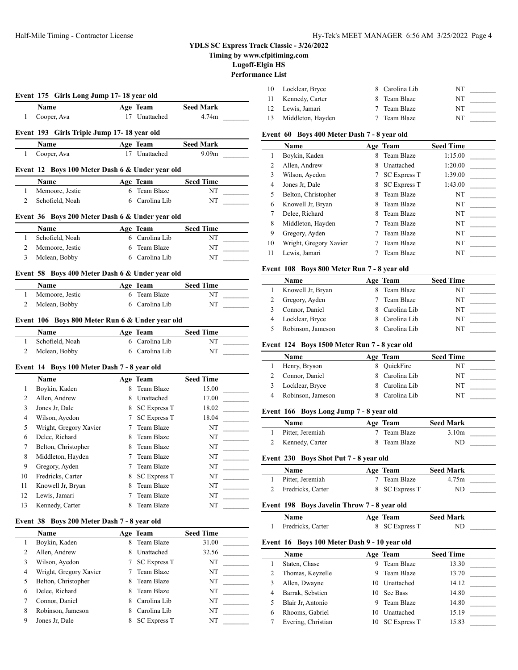**Timing by www.cfpitiming.com**

**Lugoff-Elgin HS**

**Performance List**

|                                |                                                 |             |                                   |                   | Periormance List |                           |
|--------------------------------|-------------------------------------------------|-------------|-----------------------------------|-------------------|------------------|---------------------------|
|                                | Event 175 Girls Long Jump 17-18 year old        |             |                                   |                   | 10               | Locklear, l               |
|                                |                                                 |             |                                   |                   | 11               | Kennedy,                  |
|                                | Name                                            |             | Age Team                          | <b>Seed Mark</b>  | 12               | Lewis, Jan                |
| 1                              | Cooper, Ava                                     |             | 17 Unattached                     | 4.74m             | 13               | Middleton                 |
|                                | Event 193 Girls Triple Jump 17-18 year old      |             |                                   |                   |                  | Event 60 Boys             |
|                                | Name                                            |             | Age Team                          | <b>Seed Mark</b>  |                  | Name                      |
| $\mathbf{1}$                   | Cooper, Ava                                     |             | 17 Unattached                     | 9.09 <sub>m</sub> | $\mathbf{1}$     | Boykin, K                 |
|                                | Event 12 Boys 100 Meter Dash 6 & Under year old |             |                                   |                   | 2                | Allen, And                |
|                                | Name                                            |             | Age Team                          | <b>Seed Time</b>  | 3                | Wilson, Ay                |
| $\mathbf{1}$                   | Mcmoore, Jestic                                 |             | 6 Team Blaze                      | NT                | 4                | Jones Jr, D               |
| 2                              | Schofield, Noah                                 |             | 6 Carolina Lib                    | NT                | 5                | Belton, Ch                |
|                                |                                                 |             |                                   |                   | 6<br>7           | Knowell J                 |
|                                | Event 36 Boys 200 Meter Dash 6 & Under year old |             |                                   |                   | 8                | Delee, Ric<br>Middleton   |
|                                | Name                                            |             | Age Team                          | <b>Seed Time</b>  | 9                | Gregory, $A$              |
| $\mathbf{1}$                   | Schofield, Noah                                 |             | 6 Carolina Lib                    | NT                | 10               | Wright, G1                |
| 2                              | Mcmoore, Jestic                                 | 6           | Team Blaze                        | NT                | 11               | Lewis, Jan                |
| $\overline{3}$                 | Mclean, Bobby                                   |             | 6 Carolina Lib                    | NT                |                  |                           |
|                                | Event 58 Boys 400 Meter Dash 6 & Under year old |             |                                   |                   |                  | Event 108 Boy             |
|                                | Name                                            |             | Age Team                          | <b>Seed Time</b>  | $\mathbf{1}$     | <b>Name</b><br>Knowell J  |
| $\mathbf{1}$                   | Mcmoore, Jestic                                 | 6           | Team Blaze                        | NT                | 2                | Gregory, $A$              |
| 2                              | Mclean, Bobby                                   |             | 6 Carolina Lib                    | NT                | 3                | Connor, D                 |
|                                |                                                 |             |                                   |                   | $\overline{4}$   | Locklear, l               |
|                                | Event 106 Boys 800 Meter Run 6 & Under year old |             |                                   |                   | 5                | Robinson,                 |
|                                | Name                                            |             | Age Team                          | <b>Seed Time</b>  |                  |                           |
| $\mathbf{1}$<br>$\overline{c}$ | Schofield, Noah<br>Mclean, Bobby                |             | 6 Carolina Lib<br>6 Carolina Lib  | NT<br>NT          |                  | Event 124 Boy             |
|                                |                                                 |             |                                   |                   |                  | Name                      |
|                                | Event 14 Boys 100 Meter Dash 7 - 8 year old     |             |                                   |                   | 1                | Henry, Bry                |
|                                | Name                                            |             | Age Team                          | <b>Seed Time</b>  | 2                | Connor, D                 |
| 1                              | Boykin, Kaden                                   |             | 8 Team Blaze                      | 15.00             | 3                | Locklear, l               |
| 2                              | Allen, Andrew                                   |             | 8 Unattached                      | 17.00             | 4                | Robinson,                 |
| 3                              | Jones Jr, Dale                                  |             | 8 SC Express T                    | 18.02             |                  | Event 166 Boy             |
| 4                              | Wilson, Ayedon                                  |             | 7 SC Express T                    | 18.04             |                  | Name                      |
| 5                              | Wright, Gregory Xavier                          | 7           | Team Blaze                        | NT                | 1                | Pitter, Jere              |
| 6                              | Delee, Richard                                  | 8           | Team Blaze                        | NT                | 2                | Kennedy,                  |
| 7                              | Belton, Christopher                             | 8           | Team Blaze                        | NT                |                  |                           |
| 8                              | Middleton, Hayden                               | 7           | Team Blaze                        | NT                |                  | Event 230 Boy             |
| 9                              | Gregory, Ayden                                  | 7           | Team Blaze                        | NT                |                  | <b>Name</b>               |
| 10                             | Fredricks, Carter                               | 8           | <b>SC Express T</b>               | NT                | 1                | Pitter, Jere              |
| 11                             | Knowell Jr, Bryan                               | 8           | Team Blaze                        | $_{\rm NT}$       | 2                | Fredricks,                |
| 12<br>13                       | Lewis, Jamari<br>Kennedy, Carter                | 7<br>8      | Team Blaze<br>Team Blaze          | NT<br>NT          |                  | Event 198 Boy             |
|                                |                                                 |             |                                   |                   |                  | Name                      |
|                                | Event 38 Boys 200 Meter Dash 7 - 8 year old     |             |                                   |                   | $\mathbf{1}$     | Fredricks,                |
|                                | Name                                            |             | Age Team                          | <b>Seed Time</b>  |                  |                           |
| $\mathbf{1}$                   | Boykin, Kaden                                   | 8           | Team Blaze                        | 31.00             |                  | Event 16 Boys             |
| $\overline{c}$                 | Allen, Andrew                                   |             | 8 Unattached                      | 32.56             |                  | Name                      |
| 3<br>$\overline{4}$            | Wilson, Ayedon                                  | $7^{\circ}$ | <b>SC Express T</b><br>Team Blaze | NT<br>NT          | 1                | Staten, Ch                |
| 5                              | Wright, Gregory Xavier<br>Belton, Christopher   | 7<br>8      | Team Blaze                        | NT                | 2                | Thomas, K                 |
| 6                              | Delee, Richard                                  | 8           | Team Blaze                        | NT                | 3                | Allen, Dw                 |
| 7                              | Connor, Daniel                                  | 8           | Carolina Lib                      | NT                | 4<br>$\sim$      | Barrak, Se<br>Blair Jr. A |
|                                |                                                 |             |                                   |                   |                  |                           |

8 Robinson, Jameson 8 Carolina Lib NT 9 Jones Jr, Dale 8 SC Express T NT

| 10 | Locklear, Bryce    | 8 Carolina Lib | NT |  |
|----|--------------------|----------------|----|--|
|    | 11 Kennedy, Carter | 8 Team Blaze   | NT |  |
|    | 12 Lewis, Jamari   | 7 Team Blaze   | NT |  |
| 13 | Middleton, Hayden  | 7 Team Blaze   | NT |  |

# **s 400 Meter Dash 7 - 8 year old**

|    | Name                   |   | Age Team            | <b>Seed Time</b> |
|----|------------------------|---|---------------------|------------------|
| 1  | Boykin, Kaden          | 8 | Team Blaze          | 1:15.00          |
| 2  | Allen, Andrew          | 8 | Unattached          | 1:20.00          |
| 3  | Wilson, Ayedon         |   | <b>SC Express T</b> | 1:39.00          |
| 4  | Jones Jr, Dale         | 8 | <b>SC Express T</b> | 1:43.00          |
| 5  | Belton, Christopher    | 8 | Team Blaze          | NT               |
| 6  | Knowell Jr, Bryan      | 8 | Team Blaze          | NT               |
| 7  | Delee, Richard         | 8 | Team Blaze          | NT               |
| 8  | Middleton, Hayden      |   | Team Blaze          | NT               |
| 9  | Gregory, Ayden         |   | Team Blaze          | NT               |
| 10 | Wright, Gregory Xavier |   | Team Blaze          | NT               |
| 11 | Lewis, Jamari          |   | Team Blaze          | NT               |

### **Event 108 Boys 800 Meter Run 7 - 8 year old**

| Name              | Age Team       | <b>Seed Time</b> |
|-------------------|----------------|------------------|
| Knowell Jr, Bryan | 8 Team Blaze   | NT               |
| Gregory, Ayden    | Team Blaze     | NT               |
| Connor, Daniel    | 8 Carolina Lib | NT               |
| Locklear, Bryce   | 8 Carolina Lib | NT               |
| Robinson, Jameson | Carolina Lib   | NT               |

#### ys 1500 Meter Run 7 - 8 year old

| <b>Name</b>       | Age Team       | <b>Seed Time</b> |
|-------------------|----------------|------------------|
| Henry, Bryson     | 8 OuickFire    | NT               |
| Connor, Daniel    | 8 Carolina Lib | NT               |
| Locklear, Bryce   | 8 Carolina Lib | NT               |
| Robinson, Jameson | 8 Carolina Lib | NT               |
|                   |                |                  |

# **Event 166 Boys Long Jump 7 - 8 year old**

| Name             | Age Team     | <b>Seed Mark</b>  |  |
|------------------|--------------|-------------------|--|
| Pitter, Jeremiah | 7 Team Blaze | 3.10 <sub>m</sub> |  |
| Kennedy, Carter  | 8 Team Blaze | ND                |  |

### **Event 230 Boys Shot Put 7 - 8 year old**

| Name              | Age Team       | <b>Seed Mark</b> |  |
|-------------------|----------------|------------------|--|
| Pitter, Jeremiah  | 7 Team Blaze   | 4.75m            |  |
| Fredricks, Carter | 8 SC Express T | ND               |  |

### ys Javelin Throw 7 - 8 year old

| Name              | Age Team       | <b>Seed Mark</b> |  |
|-------------------|----------------|------------------|--|
| Fredricks, Carter | 8 SC Express T | ND               |  |

### **s** 100 Meter Dash 9 - 10 year old

|   | <b>Name</b>        |    | Age Team            | <b>Seed Time</b> |
|---|--------------------|----|---------------------|------------------|
|   | Staten, Chase      | 9  | Team Blaze          | 13.30            |
|   | Thomas, Keyzelle   | 9. | Team Blaze          | 13.70            |
|   | Allen, Dwayne      | 10 | Unattached          | 14.12            |
| 4 | Barrak, Sebstien   |    | 10 See Bass         | 14.80            |
|   | Blair Jr. Antonio  | 9. | Team Blaze          | 14.80            |
| 6 | Rhooms, Gabriel    | 10 | Unattached          | 15.19            |
|   | Evering, Christian |    | <b>SC Express T</b> | 15.83            |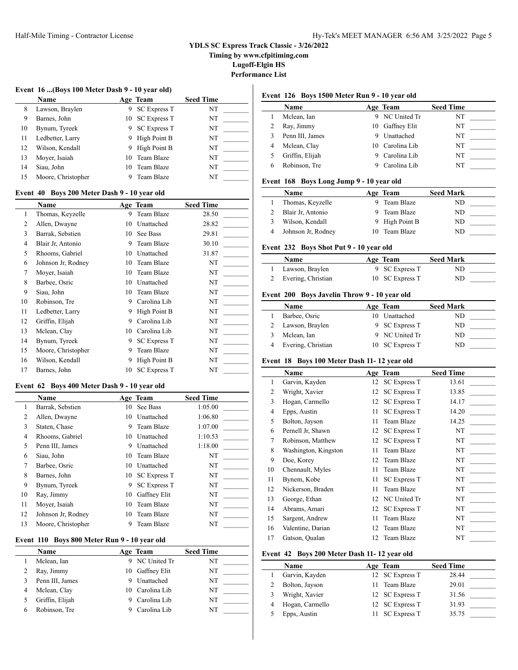**Timing by www.cfpitiming.com**

**Lugoff-Elgin HS**

 $\overline{\phantom{a}}$ 

**Performance List**

### **Event 16 ...(Boys 100 Meter Dash 9 - 10 year old)**

|    | <b>Name</b>        |    | Age Team            | <b>Seed Time</b> |
|----|--------------------|----|---------------------|------------------|
| 8  | Lawson, Braylen    | 9  | <b>SC Express T</b> | NT               |
| 9  | Barnes, John       |    | 10 SC Express T     | NT               |
| 10 | Bynum, Tyreek      | 9  | <b>SC Express T</b> | NT               |
| 11 | Ledbetter, Larry   | 9  | High Point B        | NT               |
| 12 | Wilson, Kendall    | 9  | High Point B        | NT               |
| 13 | Moyer, Isaiah      | 10 | Team Blaze          | NT               |
| 14 | Siau, John         | 10 | Team Blaze          | NT               |
| 15 | Moore, Christopher |    | Team Blaze          | NT               |

#### **Event 40 Boys 200 Meter Dash 9 - 10 year old**

|                | Name               |    | Age Team            | <b>Seed Time</b> |
|----------------|--------------------|----|---------------------|------------------|
| 1              | Thomas, Keyzelle   | 9  | Team Blaze          | 28.50            |
| 2              | Allen, Dwayne      | 10 | Unattached          | 28.82            |
| 3              | Barrak, Sebstien   | 10 | See Bass            | 29.81            |
| $\overline{4}$ | Blair Jr, Antonio  | 9  | Team Blaze          | 30.10            |
| 5              | Rhooms, Gabriel    | 10 | Unattached          | 31.87            |
| 6              | Johnson Jr, Rodney | 10 | Team Blaze          | NT               |
| 7              | Moyer, Isaiah      | 10 | Team Blaze          | NT               |
| 8              | Barbee, Osric      | 10 | Unattached          | NT               |
| 9              | Siau, John         | 10 | Team Blaze          | NT               |
| 10             | Robinson, Tre      | 9  | Carolina Lib        | NT               |
| 11             | Ledbetter, Larry   | 9  | High Point B        | NT               |
| 12             | Griffin, Elijah    | 9  | Carolina Lib        | NT               |
| 13             | Mclean, Clay       | 10 | Carolina Lib        | NT               |
| 14             | Bynum, Tyreek      | 9  | <b>SC Express T</b> | NT               |
| 15             | Moore, Christopher | 9  | Team Blaze          | NT               |
| 16             | Wilson, Kendall    | 9  | High Point B        | NT               |
| 17             | Barnes, John       | 10 | <b>SC Express T</b> | NT               |

#### **Event 62 Boys 400 Meter Dash 9 - 10 year old**

|    | Name               |    | Age Team            | <b>Seed Time</b> |
|----|--------------------|----|---------------------|------------------|
| 1  | Barrak, Sebstien   | 10 | <b>See Bass</b>     | 1:05.00          |
| 2  | Allen, Dwayne      | 10 | Unattached          | 1:06.80          |
| 3  | Staten, Chase      | 9  | Team Blaze          | 1:07.00          |
| 4  | Rhooms, Gabriel    | 10 | Unattached          | 1:10.53          |
| 5  | Penn III, James    | 9  | Unattached          | 1:18.00          |
| 6  | Siau, John         | 10 | Team Blaze          | NT               |
| 7  | Barbee, Osric      | 10 | Unattached          | NT               |
| 8  | Barnes, John       | 10 | <b>SC Express T</b> | NT               |
| 9  | Bynum, Tyreek      | 9  | <b>SC Express T</b> | NT               |
| 10 | Ray, Jimmy         | 10 | Gaffney Elit        | NT               |
| 11 | Moyer, Isaiah      | 10 | Team Blaze          | NT               |
| 12 | Johnson Jr, Rodney | 10 | Team Blaze          | NT               |
| 13 | Moore, Christopher | 9  | Team Blaze          | NT               |

### **Event 110 Boys 800 Meter Run 9 - 10 year old**

| Name            |    | Age Team        | <b>Seed Time</b> |
|-----------------|----|-----------------|------------------|
| Mclean, Ian     |    | 9 NC United Tr  | NT               |
| Ray, Jimmy      | 10 | Gaffney Elit    | NT               |
| Penn III, James |    | Unattached      | NT               |
| Mclean, Clay    |    | 10 Carolina Lib | NT               |
| Griffin, Elijah |    | Carolina Lib    | NT               |
| Robinson, Tre   |    | Carolina Lib    | NT               |

# **Event 126 Boys 1500 Meter Run 9 - 10 year old**

|   | Name            |   | Age Team        | <b>Seed Time</b> |
|---|-----------------|---|-----------------|------------------|
|   | Mclean, Ian     | 9 | NC United Tr    | NT               |
|   | Ray, Jimmy      |   | 10 Gaffney Elit | NT               |
|   | Penn III, James |   | Unattached      | NT               |
| 4 | Mclean, Clay    |   | 10 Carolina Lib | NT               |
|   | Griffin, Elijah |   | Carolina Lib    | NT               |
|   | Robinson, Tre   |   | Carolina Lib    | NT               |

# **Event 168 Boys Long Jump 9 - 10 year old**

| Name               | Age Team       | <b>Seed Mark</b> |
|--------------------|----------------|------------------|
| Thomas, Keyzelle   | Team Blaze     | ND               |
| Blair Jr. Antonio  | Team Blaze     | ND.              |
| Wilson, Kendall    | 9 High Point B | ND               |
| Johnson Jr, Rodney | Team Blaze     | ND               |

#### **Event 232 Boys Shot Put 9 - 10 year old**

| <b>Name</b>        | Age Team        | <b>Seed Mark</b> |  |
|--------------------|-----------------|------------------|--|
| Lawson, Braylen    | 9 SC Express T  | ND               |  |
| Evering, Christian | 10 SC Express T | ND               |  |

### **Event 200 Boys Javelin Throw 9 - 10 year old**

| <b>Name</b>        | Age Team        | <b>Seed Mark</b> |
|--------------------|-----------------|------------------|
| Barbee, Osric      | 10 Unattached   | ND               |
| Lawson, Braylen    | 9 SC Express T  | ND               |
| Mclean, Ian        | 9 NC United Tr  | ND.              |
| Evering, Christian | 10 SC Express T | ND               |

#### **Event 18 Boys 100 Meter Dash 11- 12 year old**

|                | Name                 |    | Age Team            | <b>Seed Time</b> |
|----------------|----------------------|----|---------------------|------------------|
| 1              | Garvin, Kayden       | 12 | <b>SC Express T</b> | 13.61            |
| $\overline{2}$ | Wright, Xavier       | 12 | <b>SC Express T</b> | 13.85            |
| 3              | Hogan, Carmello      | 12 | <b>SC Express T</b> | 14.17            |
| $\overline{4}$ | Epps, Austin         | 11 | <b>SC Express T</b> | 14.20            |
| 5              | Bolton, Jayson       | 11 | Team Blaze          | 14.25            |
| 6              | Pernell Jr, Shawn    | 12 | <b>SC Express T</b> | NT               |
| 7              | Robinson, Matthew    | 12 | <b>SC Express T</b> | NT               |
| 8              | Washington, Kingston | 11 | Team Blaze          | NT               |
| 9              | Doe, Korey           | 12 | Team Blaze          | NT               |
| 10             | Chennault, Myles     | 11 | Team Blaze          | NT               |
| 11             | Bynem, Kobe          | 11 | <b>SC Express T</b> | NT               |
| 12             | Nickerson, Braden    | 11 | Team Blaze          | NT               |
| 13             | George, Ethan        | 12 | NC United Tr        | NT               |
| 14             | Abrams, Amari        | 12 | <b>SC Express T</b> | NT               |
| 15             | Sargent, Andrew      | 11 | Team Blaze          | NT               |
| 16             | Valentine, Darian    | 12 | Team Blaze          | NT               |
| 17             | Gatson, Qualan       | 12 | Team Blaze          | NT               |

### **Event 42 Boys 200 Meter Dash 11- 12 year old**

| Name            | Age Team        | <b>Seed Time</b> |  |
|-----------------|-----------------|------------------|--|
| Garvin, Kayden  | 12 SC Express T | 28.44            |  |
| Bolton, Jayson  | Team Blaze      | 29.01            |  |
| Wright, Xavier  | 12 SC Express T | 31.56            |  |
| Hogan, Carmello | 12 SC Express T | 31.93            |  |
| Epps, Austin    | SC Express T    | 35.75            |  |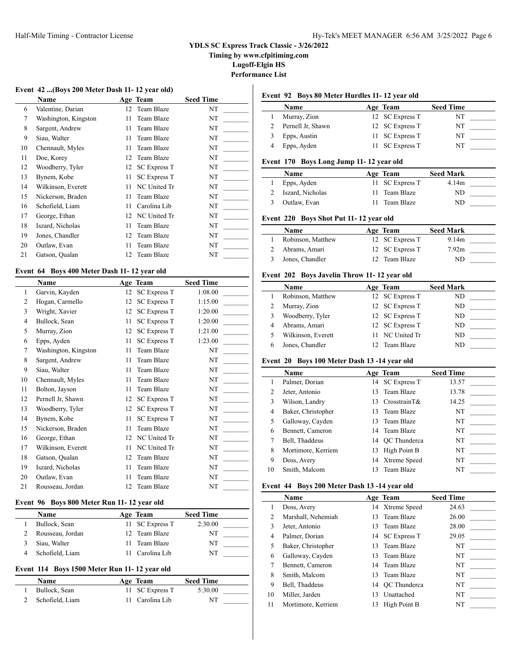**Timing by www.cfpitiming.com**

**Lugoff-Elgin HS**

**Performance List**

# **Event 42 ...(Boys 200 Meter Dash 11- 12 year old)**

|    | <b>Name</b>          |    | Age Team            | <b>Seed Time</b> |
|----|----------------------|----|---------------------|------------------|
| 6  | Valentine, Darian    | 12 | Team Blaze          | NT               |
| 7  | Washington, Kingston | 11 | Team Blaze          | NT               |
| 8  | Sargent, Andrew      | 11 | Team Blaze          | NT               |
| 9  | Siau, Walter         | 11 | Team Blaze          | NT               |
| 10 | Chennault, Myles     | 11 | Team Blaze          | NT               |
| 11 | Doe, Korey           | 12 | Team Blaze          | NT               |
| 12 | Woodberry, Tyler     | 12 | <b>SC Express T</b> | NT               |
| 13 | Bynem, Kobe          | 11 | <b>SC Express T</b> | NT               |
| 14 | Wilkinson, Everett   | 11 | NC United Tr        | NT               |
| 15 | Nickerson, Braden    | 11 | Team Blaze          | NT               |
| 16 | Schofield, Liam      | 11 | Carolina Lib        | NT               |
| 17 | George, Ethan        | 12 | NC United Tr        | NT               |
| 18 | Iszard, Nicholas     | 11 | Team Blaze          | NT               |
| 19 | Jones, Chandler      | 12 | Team Blaze          | NT               |
| 20 | Outlaw, Evan         | 11 | Team Blaze          | NT               |
| 21 | Gatson, Qualan       | 12 | Team Blaze          | NT               |

### **Event 64 Boys 400 Meter Dash 11- 12 year old**

|                | Name                 |    | Age Team            | <b>Seed Time</b> |
|----------------|----------------------|----|---------------------|------------------|
| 1              | Garvin, Kayden       | 12 | <b>SC Express T</b> | 1:08.00          |
| $\overline{c}$ | Hogan, Carmello      | 12 | <b>SC Express T</b> | 1:15.00          |
| 3              | Wright, Xavier       | 12 | <b>SC Express T</b> | 1:20.00          |
| 4              | Bullock, Sean        | 11 | <b>SC Express T</b> | 1:20.00          |
| 5              | Murray, Zion         | 12 | <b>SC Express T</b> | 1:21.00          |
| 6              | Epps, Ayden          | 11 | <b>SC Express T</b> | 1:23.00          |
| 7              | Washington, Kingston | 11 | Team Blaze          | NT               |
| 8              | Sargent, Andrew      | 11 | Team Blaze          | NT               |
| 9              | Siau, Walter         | 11 | Team Blaze          | NT               |
| 10             | Chennault, Myles     | 11 | Team Blaze          | NT               |
| 11             | Bolton, Jayson       | 11 | Team Blaze          | NT               |
| 12             | Pernell Jr, Shawn    | 12 | <b>SC Express T</b> | NT               |
| 13             | Woodberry, Tyler     | 12 | <b>SC Express T</b> | NT               |
| 14             | Bynem, Kobe          | 11 | <b>SC Express T</b> | NT               |
| 15             | Nickerson, Braden    | 11 | Team Blaze          | NT               |
| 16             | George, Ethan        | 12 | NC United Tr        | NT               |
| 17             | Wilkinson, Everett   | 11 | NC United Tr        | NT               |
| 18             | Gatson, Qualan       | 12 | Team Blaze          | NT               |
| 19             | Iszard, Nicholas     | 11 | Team Blaze          | NT               |
| 20             | Outlaw, Evan         | 11 | Team Blaze          | NT               |
| 21             | Rousseau, Jordan     | 12 | Team Blaze          | NT               |

### **Event 96 Boys 800 Meter Run 11- 12 year old**

| Name             | Age Team        | <b>Seed Time</b> |  |
|------------------|-----------------|------------------|--|
| Bullock, Sean    | 11 SC Express T | 2:30.00          |  |
| Rousseau, Jordan | 12 Team Blaze   | NT               |  |
| Siau, Walter     | 11 Team Blaze   | NT               |  |
| Schofield, Liam  | Carolina Lib    | NT               |  |

#### **Event 114 Boys 1500 Meter Run 11- 12 year old**

| Name            | Age Team        | <b>Seed Time</b> |  |
|-----------------|-----------------|------------------|--|
| Bullock, Sean   | 11 SC Express T | 5:30.00          |  |
| Schofield, Liam | 11 Carolina Lib | NT               |  |

### **Event 92 Boys 80 Meter Hurdles 11- 12 year old**

| Name              | Age Team        | <b>Seed Time</b> |  |
|-------------------|-----------------|------------------|--|
| Murray, Zion      | 12 SC Express T | NT               |  |
| Pernell Jr, Shawn | 12 SC Express T | NT               |  |
| Epps, Austin      | 11 SC Express T | NT               |  |
| Epps, Ayden       | 11 SC Express T | NT               |  |

### **Event 170 Boys Long Jump 11- 12 year old**

| <b>Name</b>      | Age Team        | <b>Seed Mark</b> |  |
|------------------|-----------------|------------------|--|
| Epps, Ayden      | 11 SC Express T | 4.14m            |  |
| Iszard, Nicholas | Team Blaze      | ND               |  |
| Outlaw, Evan     | Team Blaze      | ND               |  |

#### **Event 220 Boys Shot Put 11- 12 year old**

| Name              |     | Age Team        | <b>Seed Mark</b> |  |
|-------------------|-----|-----------------|------------------|--|
| Robinson, Matthew |     | 12 SC Express T | 9.14m            |  |
| Abrams, Amari     |     | 12 SC Express T | 7.92m            |  |
| Jones, Chandler   | 12. | Team Blaze      | ND               |  |

# **Event 202 Boys Javelin Throw 11- 12 year old**

| <b>Name</b>        | Age Team        | <b>Seed Mark</b> |
|--------------------|-----------------|------------------|
| Robinson, Matthew  | 12 SC Express T | ND               |
| Murray, Zion       | 12 SC Express T | ND               |
| Woodberry, Tyler   | 12 SC Express T | ND               |
| Abrams, Amari      | 12 SC Express T | ND.              |
| Wilkinson, Everett | 11 NC United Tr | ND               |
| Jones, Chandler    | Team Blaze      | ND               |

#### **Event 20 Boys 100 Meter Dash 13 -14 year old**

|                | Name               |     | Age Team        | <b>Seed Time</b> |
|----------------|--------------------|-----|-----------------|------------------|
|                | Palmer, Dorian     |     | 14 SC Express T | 13.57            |
| $\overline{2}$ | Jeter, Antonio     | 13. | Team Blaze      | 13.78            |
| 3              | Wilson, Landry     | 13. | $CrosstrainT\&$ | 14.25            |
| 4              | Baker, Christopher |     | 13 Team Blaze   | NT               |
| 5              | Galloway, Cayden   | 13. | Team Blaze      | NT               |
| 6              | Bennett, Cameron   |     | 14 Team Blaze   | NT               |
| 7              | Bell, Thaddeus     |     | 14 QC Thunderca | NT               |
| 8              | Mortimore, Kerriem | 13  | High Point B    | NT               |
| 9              | Doss, Avery        |     | 14 Xtreme Speed | NT               |
| 10             | Smith, Malcom      |     | Team Blaze      | NT               |

#### **Event 44 Boys 200 Meter Dash 13 -14 year old**

|    | <b>Name</b>        |    | Age Team        | <b>Seed Time</b> |  |
|----|--------------------|----|-----------------|------------------|--|
| 1  | Doss, Avery        |    | 14 Xtreme Speed | 24.63            |  |
| 2  | Marshall, Nehemiah |    | 13 Team Blaze   | 26.00            |  |
| 3  | Jeter, Antonio     |    | 13 Team Blaze   | 28.00            |  |
| 4  | Palmer, Dorian     |    | 14 SC Express T | 29.05            |  |
| 5  | Baker, Christopher |    | 13 Team Blaze   | NT               |  |
| 6  | Galloway, Cayden   |    | 13 Team Blaze   | NT               |  |
| 7  | Bennett, Cameron   |    | 14 Team Blaze   | NT               |  |
| 8  | Smith, Malcom      |    | 13 Team Blaze   | NT               |  |
| 9  | Bell, Thaddeus     |    | 14 OC Thunderca | NT               |  |
| 10 | Miller, Jarden     | 13 | Unattached      | NT               |  |
| 11 | Mortimore, Kerriem | 13 | High Point B    | NT               |  |